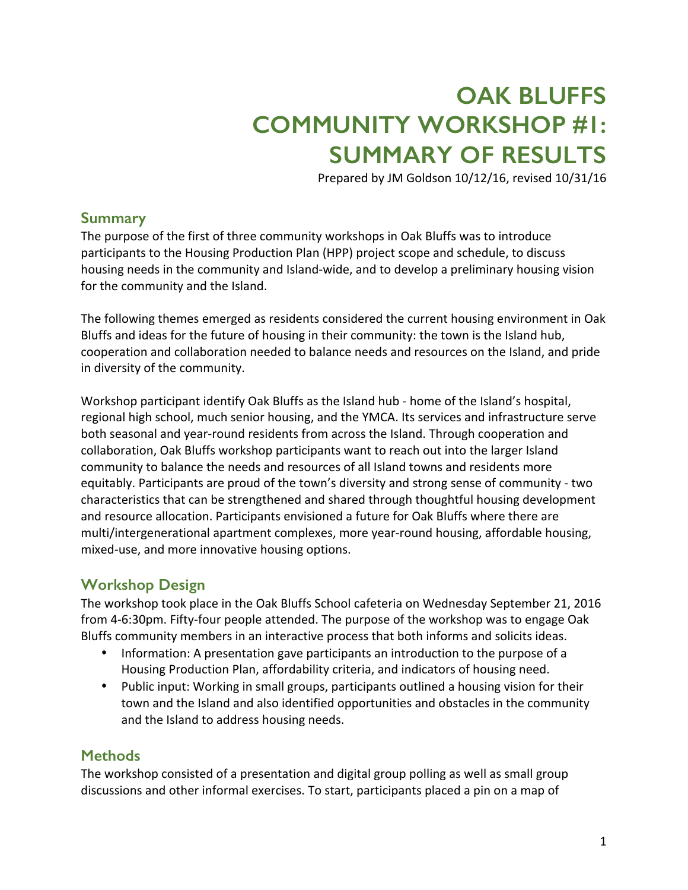# **OAK BLUFFS COMMUNITY WORKSHOP #1: SUMMARY OF RESULTS**

Prepared by JM Goldson 10/12/16, revised 10/31/16

## **Summary**

The purpose of the first of three community workshops in Oak Bluffs was to introduce participants to the Housing Production Plan (HPP) project scope and schedule, to discuss housing needs in the community and Island-wide, and to develop a preliminary housing vision for the community and the Island.

The following themes emerged as residents considered the current housing environment in Oak Bluffs and ideas for the future of housing in their community: the town is the Island hub, cooperation and collaboration needed to balance needs and resources on the Island, and pride in diversity of the community.

Workshop participant identify Oak Bluffs as the Island hub - home of the Island's hospital, regional high school, much senior housing, and the YMCA. Its services and infrastructure serve both seasonal and year-round residents from across the Island. Through cooperation and collaboration, Oak Bluffs workshop participants want to reach out into the larger Island community to balance the needs and resources of all Island towns and residents more equitably. Participants are proud of the town's diversity and strong sense of community - two characteristics that can be strengthened and shared through thoughtful housing development and resource allocation. Participants envisioned a future for Oak Bluffs where there are multi/intergenerational apartment complexes, more year-round housing, affordable housing, mixed-use, and more innovative housing options.

## **Workshop Design**

The workshop took place in the Oak Bluffs School cafeteria on Wednesday September 21, 2016 from 4-6:30pm. Fifty-four people attended. The purpose of the workshop was to engage Oak Bluffs community members in an interactive process that both informs and solicits ideas.

- Information: A presentation gave participants an introduction to the purpose of a Housing Production Plan, affordability criteria, and indicators of housing need.
- Public input: Working in small groups, participants outlined a housing vision for their town and the Island and also identified opportunities and obstacles in the community and the Island to address housing needs.

## **Methods**

The workshop consisted of a presentation and digital group polling as well as small group discussions and other informal exercises. To start, participants placed a pin on a map of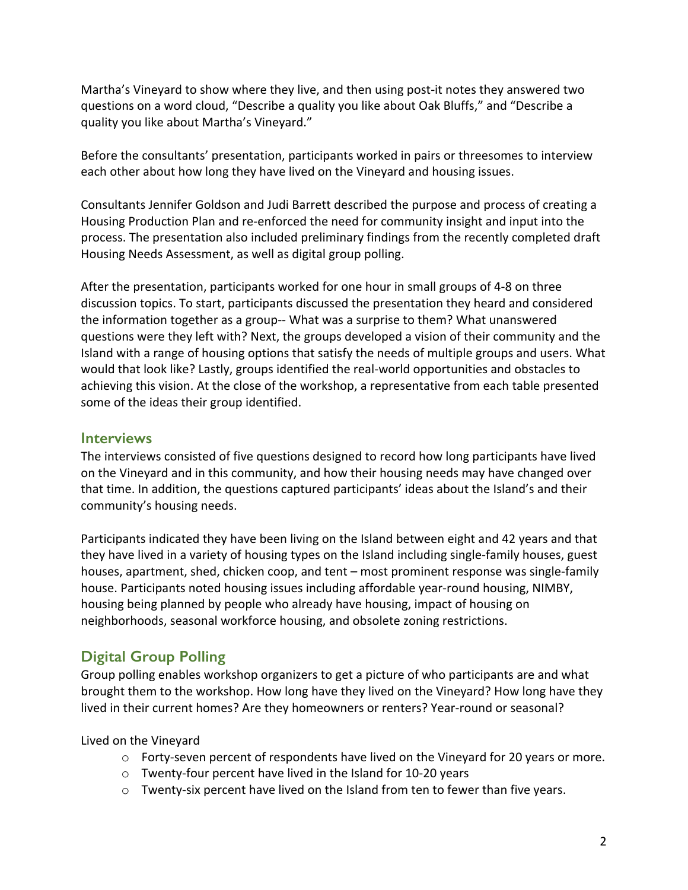Martha's Vineyard to show where they live, and then using post-it notes they answered two guestions on a word cloud, "Describe a quality you like about Oak Bluffs," and "Describe a quality you like about Martha's Vineyard."

Before the consultants' presentation, participants worked in pairs or threesomes to interview each other about how long they have lived on the Vineyard and housing issues.

Consultants Jennifer Goldson and Judi Barrett described the purpose and process of creating a Housing Production Plan and re-enforced the need for community insight and input into the process. The presentation also included preliminary findings from the recently completed draft Housing Needs Assessment, as well as digital group polling.

After the presentation, participants worked for one hour in small groups of 4-8 on three discussion topics. To start, participants discussed the presentation they heard and considered the information together as a group-- What was a surprise to them? What unanswered questions were they left with? Next, the groups developed a vision of their community and the Island with a range of housing options that satisfy the needs of multiple groups and users. What would that look like? Lastly, groups identified the real-world opportunities and obstacles to achieving this vision. At the close of the workshop, a representative from each table presented some of the ideas their group identified.

## **Interviews**

The interviews consisted of five questions designed to record how long participants have lived on the Vineyard and in this community, and how their housing needs may have changed over that time. In addition, the questions captured participants' ideas about the Island's and their community's housing needs.

Participants indicated they have been living on the Island between eight and 42 years and that they have lived in a variety of housing types on the Island including single-family houses, guest houses, apartment, shed, chicken coop, and tent – most prominent response was single-family house. Participants noted housing issues including affordable year-round housing, NIMBY, housing being planned by people who already have housing, impact of housing on neighborhoods, seasonal workforce housing, and obsolete zoning restrictions.

# **Digital Group Polling**

Group polling enables workshop organizers to get a picture of who participants are and what brought them to the workshop. How long have they lived on the Vineyard? How long have they lived in their current homes? Are they homeowners or renters? Year-round or seasonal?

Lived on the Vineyard

- $\circ$  Forty-seven percent of respondents have lived on the Vineyard for 20 years or more.
- $\circ$  Twenty-four percent have lived in the Island for 10-20 years
- $\circ$  Twenty-six percent have lived on the Island from ten to fewer than five years.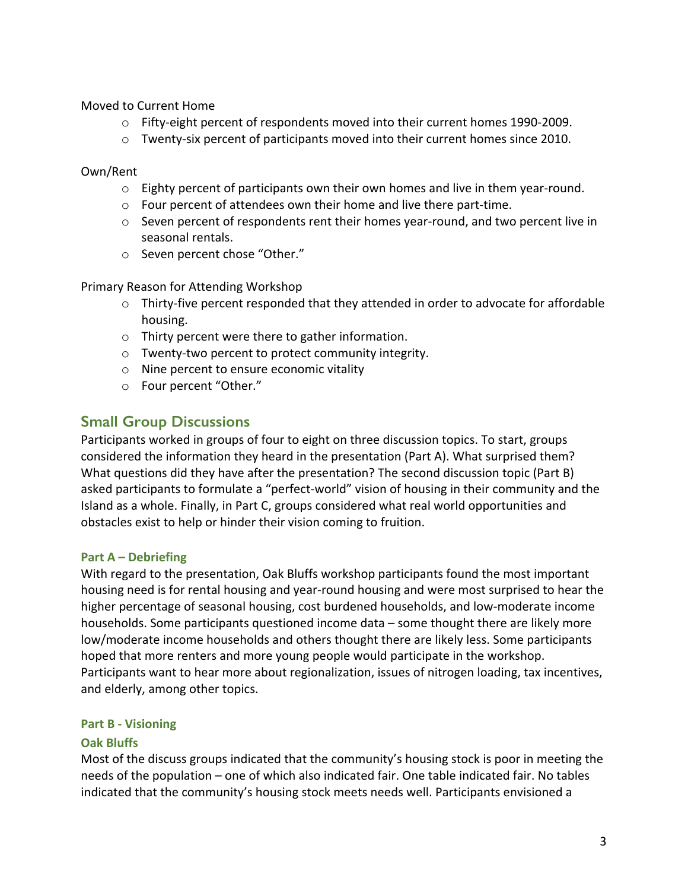Moved to Current Home

- $\circ$  Fifty-eight percent of respondents moved into their current homes 1990-2009.
- $\circ$  Twenty-six percent of participants moved into their current homes since 2010.

Own/Rent

- $\circ$  Eighty percent of participants own their own homes and live in them year-round.
- $\circ$  Four percent of attendees own their home and live there part-time.
- $\circ$  Seven percent of respondents rent their homes year-round, and two percent live in seasonal rentals.
- o Seven percent chose "Other."

Primary Reason for Attending Workshop

- $\circ$  Thirty-five percent responded that they attended in order to advocate for affordable housing.
- $\circ$  Thirty percent were there to gather information.
- $\circ$  Twenty-two percent to protect community integrity.
- $\circ$  Nine percent to ensure economic vitality
- o Four percent "Other."

## **Small Group Discussions**

Participants worked in groups of four to eight on three discussion topics. To start, groups considered the information they heard in the presentation (Part A). What surprised them? What questions did they have after the presentation? The second discussion topic (Part B) asked participants to formulate a "perfect-world" vision of housing in their community and the Island as a whole. Finally, in Part C, groups considered what real world opportunities and obstacles exist to help or hinder their vision coming to fruition.

### **Part A – Debriefing**

With regard to the presentation, Oak Bluffs workshop participants found the most important housing need is for rental housing and year-round housing and were most surprised to hear the higher percentage of seasonal housing, cost burdened households, and low-moderate income households. Some participants questioned income data – some thought there are likely more low/moderate income households and others thought there are likely less. Some participants hoped that more renters and more young people would participate in the workshop. Participants want to hear more about regionalization, issues of nitrogen loading, tax incentives, and elderly, among other topics.

#### **Part B - Visioning**

### **Oak Bluffs**

Most of the discuss groups indicated that the community's housing stock is poor in meeting the needs of the population – one of which also indicated fair. One table indicated fair. No tables indicated that the community's housing stock meets needs well. Participants envisioned a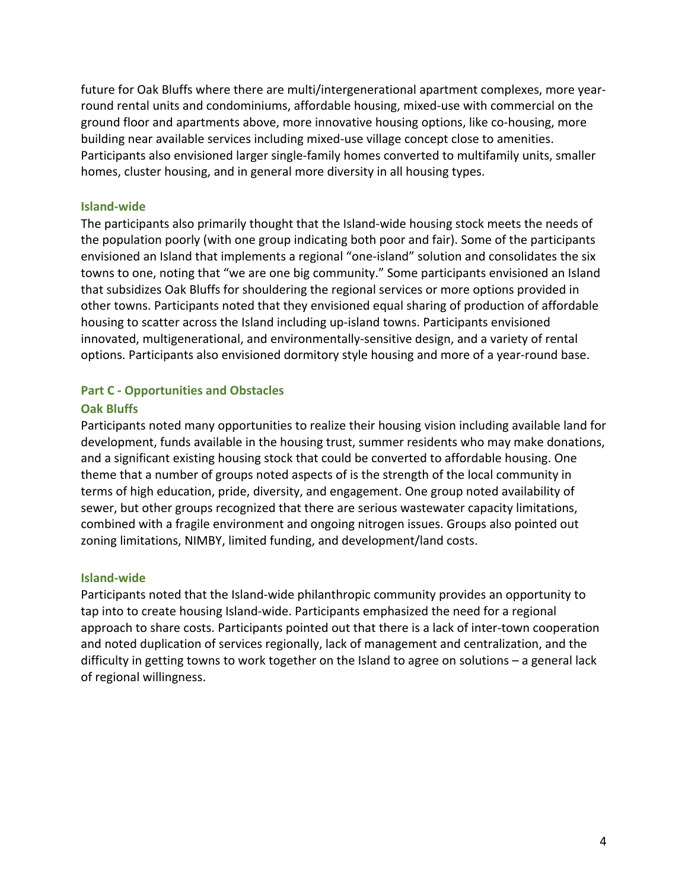future for Oak Bluffs where there are multi/intergenerational apartment complexes, more yearround rental units and condominiums, affordable housing, mixed-use with commercial on the ground floor and apartments above, more innovative housing options, like co-housing, more building near available services including mixed-use village concept close to amenities. Participants also envisioned larger single-family homes converted to multifamily units, smaller homes, cluster housing, and in general more diversity in all housing types.

#### **Island-wide**

The participants also primarily thought that the Island-wide housing stock meets the needs of the population poorly (with one group indicating both poor and fair). Some of the participants envisioned an Island that implements a regional "one-island" solution and consolidates the six towns to one, noting that "we are one big community." Some participants envisioned an Island that subsidizes Oak Bluffs for shouldering the regional services or more options provided in other towns. Participants noted that they envisioned equal sharing of production of affordable housing to scatter across the Island including up-island towns. Participants envisioned innovated, multigenerational, and environmentally-sensitive design, and a variety of rental options. Participants also envisioned dormitory style housing and more of a year-round base.

### **Part C - Opportunities and Obstacles**

#### **Oak Bluffs**

Participants noted many opportunities to realize their housing vision including available land for development, funds available in the housing trust, summer residents who may make donations, and a significant existing housing stock that could be converted to affordable housing. One theme that a number of groups noted aspects of is the strength of the local community in terms of high education, pride, diversity, and engagement. One group noted availability of sewer, but other groups recognized that there are serious wastewater capacity limitations, combined with a fragile environment and ongoing nitrogen issues. Groups also pointed out zoning limitations, NIMBY, limited funding, and development/land costs.

#### **Island-wide**

Participants noted that the Island-wide philanthropic community provides an opportunity to tap into to create housing Island-wide. Participants emphasized the need for a regional approach to share costs. Participants pointed out that there is a lack of inter-town cooperation and noted duplication of services regionally, lack of management and centralization, and the difficulty in getting towns to work together on the Island to agree on solutions  $-$  a general lack of regional willingness.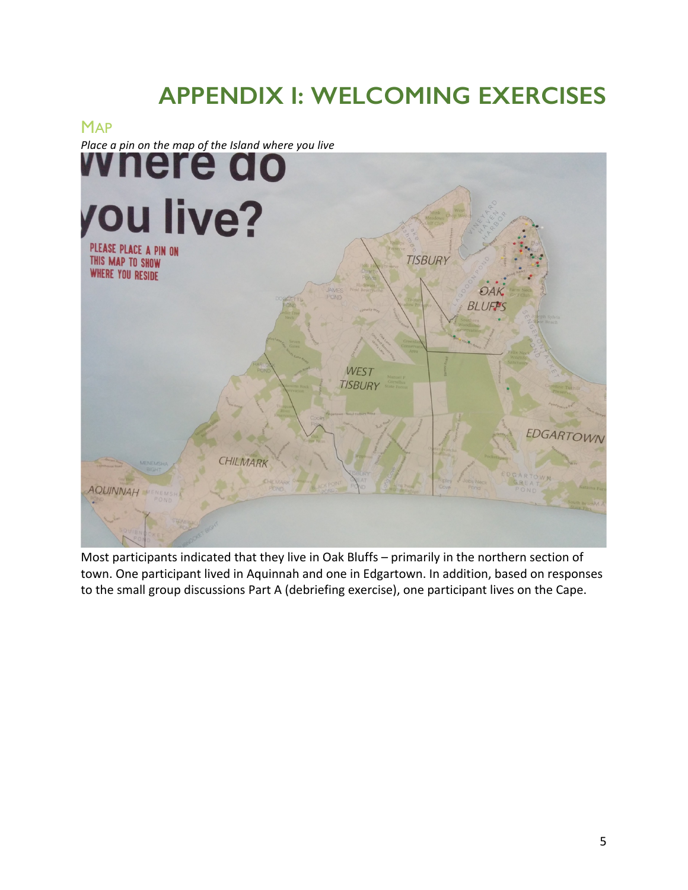# **APPENDIX I: WELCOMING EXERCISES**



Most participants indicated that they live in Oak Bluffs – primarily in the northern section of town. One participant lived in Aquinnah and one in Edgartown. In addition, based on responses to the small group discussions Part A (debriefing exercise), one participant lives on the Cape.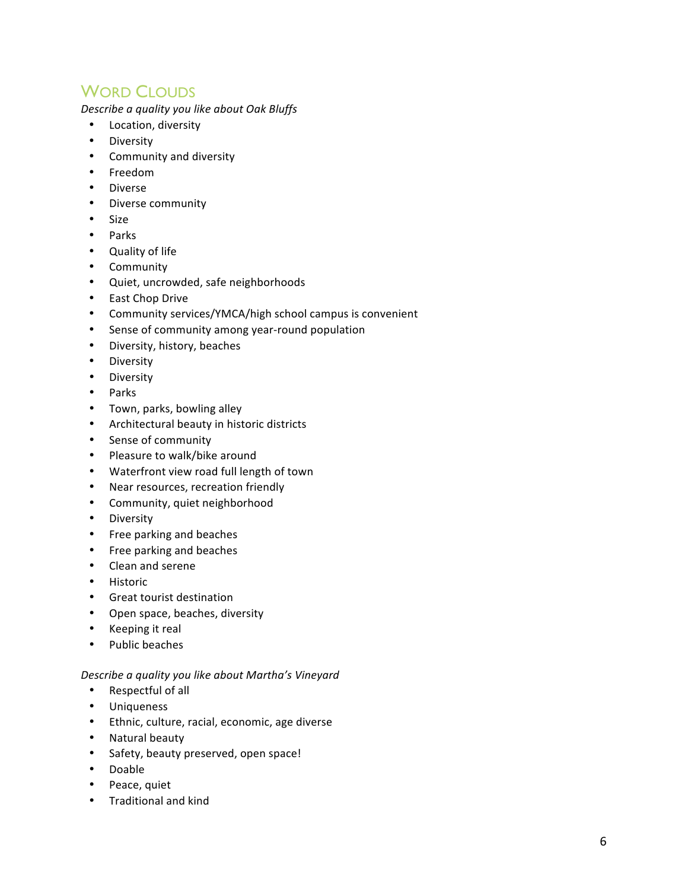# **WORD CLOUDS**

*Describe a quality you like about Oak Bluffs*

- Location, diversity
- Diversity
- Community and diversity
- Freedom
- Diverse
- Diverse community
- Size
- Parks
- Quality of life
- Community
- Quiet, uncrowded, safe neighborhoods
- East Chop Drive
- Community services/YMCA/high school campus is convenient
- Sense of community among year-round population
- Diversity, history, beaches
- **Diversity**
- Diversity
- Parks
- Town, parks, bowling alley
- Architectural beauty in historic districts
- Sense of community
- Pleasure to walk/bike around
- Waterfront view road full length of town
- Near resources, recreation friendly
- Community, quiet neighborhood
- Diversity
- Free parking and beaches
- Free parking and beaches
- Clean and serene
- Historic
- Great tourist destination
- Open space, beaches, diversity
- Keeping it real
- Public beaches

#### *Describe a quality you like about Martha's Vineyard*

- Respectful of all
- Uniqueness
- Ethnic, culture, racial, economic, age diverse
- Natural beauty
- Safety, beauty preserved, open space!
- Doable
- Peace, quiet
- Traditional and kind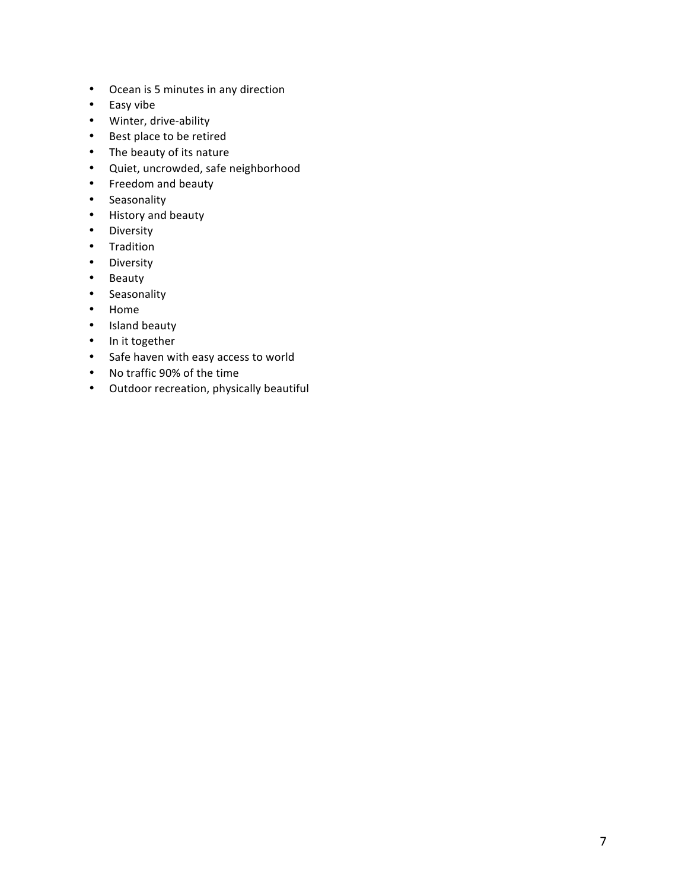- Ocean is 5 minutes in any direction
- Easy vibe
- Winter, drive-ability
- Best place to be retired
- The beauty of its nature
- Quiet, uncrowded, safe neighborhood
- Freedom and beauty
- Seasonality
- History and beauty
- Diversity
- Tradition
- Diversity
- Beauty
- Seasonality
- Home
- Island beauty
- In it together
- Safe haven with easy access to world
- No traffic 90% of the time
- Outdoor recreation, physically beautiful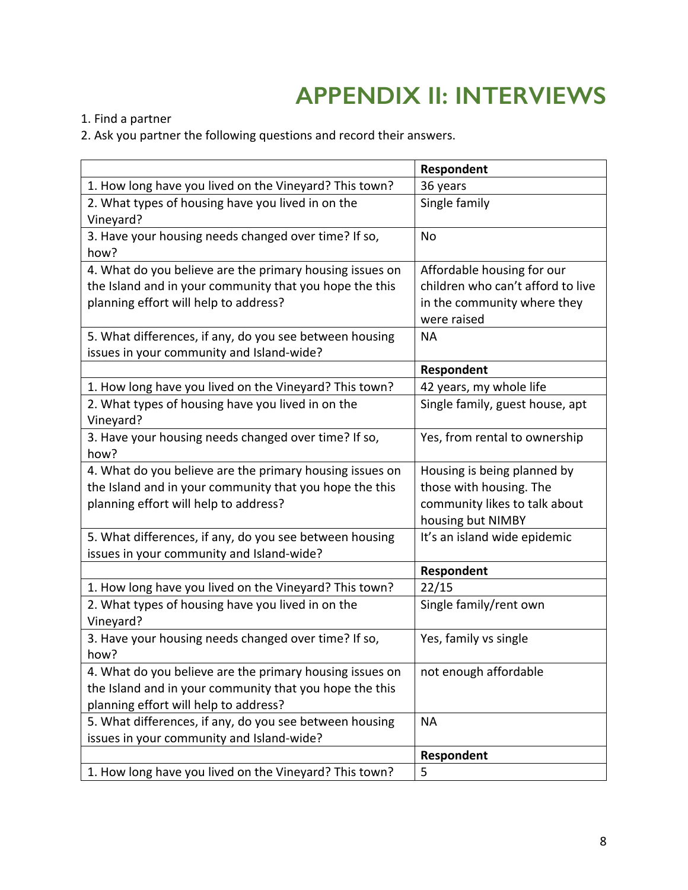# **APPENDIX II: INTERVIEWS**

1. Find a partner

2. Ask you partner the following questions and record their answers.

|                                                          | Respondent                        |
|----------------------------------------------------------|-----------------------------------|
| 1. How long have you lived on the Vineyard? This town?   | 36 years                          |
| 2. What types of housing have you lived in on the        | Single family                     |
| Vineyard?                                                |                                   |
| 3. Have your housing needs changed over time? If so,     | No                                |
| how?                                                     |                                   |
| 4. What do you believe are the primary housing issues on | Affordable housing for our        |
| the Island and in your community that you hope the this  | children who can't afford to live |
| planning effort will help to address?                    | in the community where they       |
|                                                          | were raised                       |
| 5. What differences, if any, do you see between housing  | <b>NA</b>                         |
| issues in your community and Island-wide?                |                                   |
|                                                          | Respondent                        |
| 1. How long have you lived on the Vineyard? This town?   | 42 years, my whole life           |
| 2. What types of housing have you lived in on the        | Single family, guest house, apt   |
| Vineyard?                                                |                                   |
| 3. Have your housing needs changed over time? If so,     | Yes, from rental to ownership     |
| how?                                                     |                                   |
| 4. What do you believe are the primary housing issues on | Housing is being planned by       |
| the Island and in your community that you hope the this  | those with housing. The           |
| planning effort will help to address?                    | community likes to talk about     |
|                                                          | housing but NIMBY                 |
| 5. What differences, if any, do you see between housing  | It's an island wide epidemic      |
| issues in your community and Island-wide?                |                                   |
|                                                          | Respondent                        |
| 1. How long have you lived on the Vineyard? This town?   | 22/15                             |
| 2. What types of housing have you lived in on the        | Single family/rent own            |
| Vineyard?                                                |                                   |
| 3. Have your housing needs changed over time? If so,     | Yes, family vs single             |
| how?                                                     |                                   |
| 4. What do you believe are the primary housing issues on | not enough affordable             |
| the Island and in your community that you hope the this  |                                   |
| planning effort will help to address?                    |                                   |
| 5. What differences, if any, do you see between housing  | <b>NA</b>                         |
| issues in your community and Island-wide?                |                                   |
|                                                          | Respondent                        |
| 1. How long have you lived on the Vineyard? This town?   | 5                                 |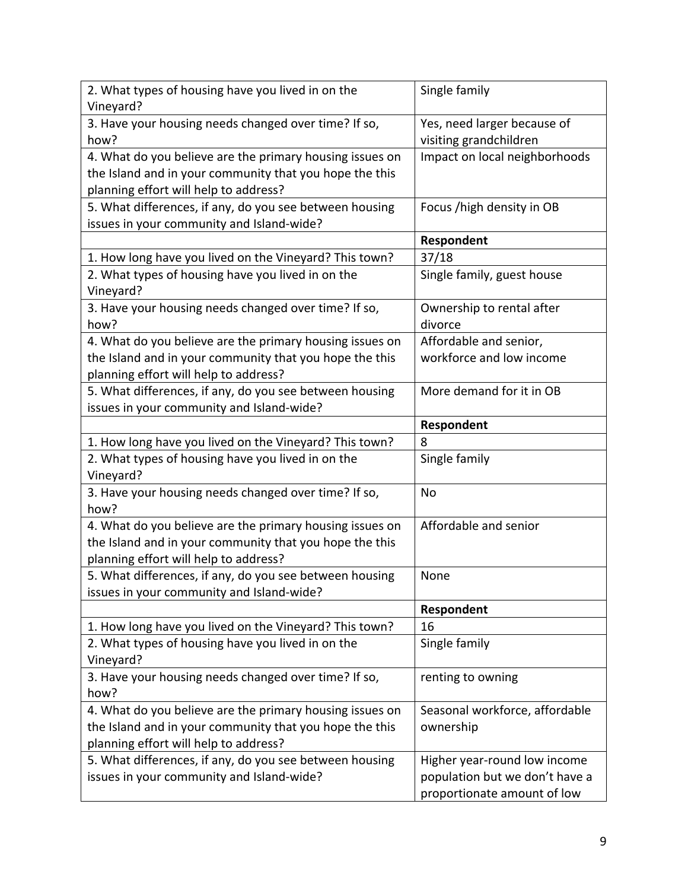| 2. What types of housing have you lived in on the<br>Vineyard? | Single family                  |
|----------------------------------------------------------------|--------------------------------|
| 3. Have your housing needs changed over time? If so,           | Yes, need larger because of    |
| how?                                                           | visiting grandchildren         |
| 4. What do you believe are the primary housing issues on       | Impact on local neighborhoods  |
| the Island and in your community that you hope the this        |                                |
| planning effort will help to address?                          |                                |
| 5. What differences, if any, do you see between housing        | Focus / high density in OB     |
| issues in your community and Island-wide?                      |                                |
|                                                                | Respondent                     |
| 1. How long have you lived on the Vineyard? This town?         | 37/18                          |
| 2. What types of housing have you lived in on the<br>Vineyard? | Single family, guest house     |
| 3. Have your housing needs changed over time? If so,           | Ownership to rental after      |
| how?                                                           | divorce                        |
| 4. What do you believe are the primary housing issues on       | Affordable and senior,         |
| the Island and in your community that you hope the this        | workforce and low income       |
| planning effort will help to address?                          |                                |
| 5. What differences, if any, do you see between housing        | More demand for it in OB       |
| issues in your community and Island-wide?                      |                                |
|                                                                | Respondent                     |
| 1. How long have you lived on the Vineyard? This town?         | 8                              |
| 2. What types of housing have you lived in on the              | Single family                  |
| Vineyard?                                                      |                                |
| 3. Have your housing needs changed over time? If so,           | No                             |
| how?                                                           |                                |
| 4. What do you believe are the primary housing issues on       | Affordable and senior          |
| the Island and in your community that you hope the this        |                                |
| planning effort will help to address?                          |                                |
| 5. What differences, if any, do you see between housing        | None                           |
| issues in your community and Island-wide?                      |                                |
|                                                                | Respondent                     |
| 1. How long have you lived on the Vineyard? This town?         | 16                             |
| 2. What types of housing have you lived in on the              | Single family                  |
| Vineyard?                                                      |                                |
| 3. Have your housing needs changed over time? If so,           | renting to owning              |
| how?                                                           |                                |
| 4. What do you believe are the primary housing issues on       | Seasonal workforce, affordable |
| the Island and in your community that you hope the this        | ownership                      |
| planning effort will help to address?                          |                                |
| 5. What differences, if any, do you see between housing        | Higher year-round low income   |
| issues in your community and Island-wide?                      | population but we don't have a |
|                                                                | proportionate amount of low    |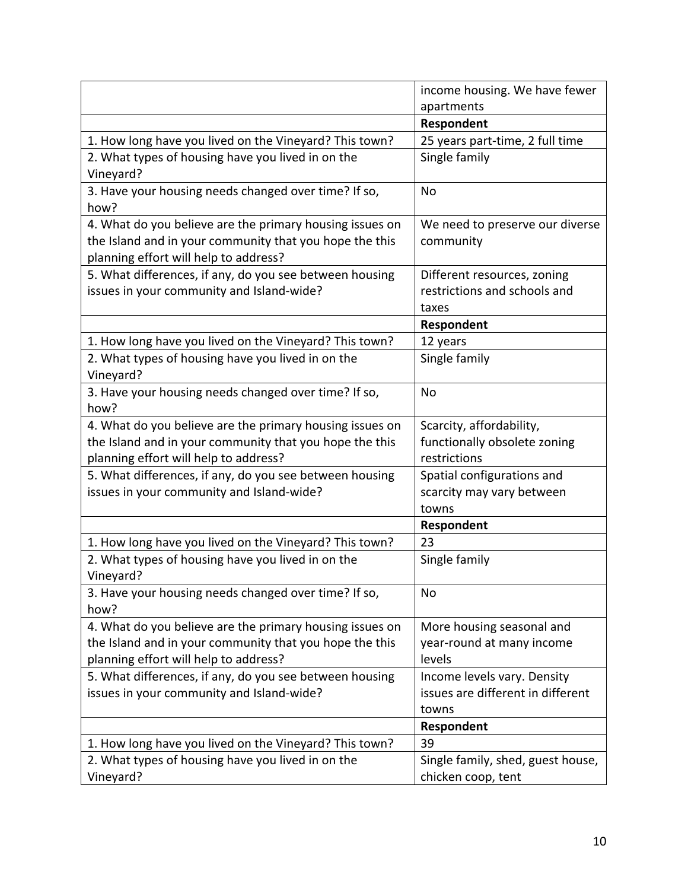|                                                          | income housing. We have fewer     |
|----------------------------------------------------------|-----------------------------------|
|                                                          | apartments                        |
|                                                          | Respondent                        |
| 1. How long have you lived on the Vineyard? This town?   | 25 years part-time, 2 full time   |
| 2. What types of housing have you lived in on the        | Single family                     |
| Vineyard?                                                |                                   |
| 3. Have your housing needs changed over time? If so,     | No                                |
| how?                                                     |                                   |
| 4. What do you believe are the primary housing issues on | We need to preserve our diverse   |
| the Island and in your community that you hope the this  | community                         |
| planning effort will help to address?                    |                                   |
| 5. What differences, if any, do you see between housing  | Different resources, zoning       |
| issues in your community and Island-wide?                | restrictions and schools and      |
|                                                          | taxes                             |
|                                                          | Respondent                        |
| 1. How long have you lived on the Vineyard? This town?   | 12 years                          |
| 2. What types of housing have you lived in on the        | Single family                     |
| Vineyard?                                                |                                   |
| 3. Have your housing needs changed over time? If so,     | No                                |
| how?                                                     |                                   |
| 4. What do you believe are the primary housing issues on | Scarcity, affordability,          |
| the Island and in your community that you hope the this  | functionally obsolete zoning      |
| planning effort will help to address?                    | restrictions                      |
| 5. What differences, if any, do you see between housing  | Spatial configurations and        |
| issues in your community and Island-wide?                | scarcity may vary between         |
|                                                          | towns                             |
|                                                          | Respondent                        |
| 1. How long have you lived on the Vineyard? This town?   | 23                                |
| 2. What types of housing have you lived in on the        | Single family                     |
| Vineyard?                                                |                                   |
| 3. Have your housing needs changed over time? If so,     | No                                |
| how?                                                     |                                   |
| 4. What do you believe are the primary housing issues on | More housing seasonal and         |
| the Island and in your community that you hope the this  | year-round at many income         |
| planning effort will help to address?                    | levels                            |
| 5. What differences, if any, do you see between housing  | Income levels vary. Density       |
| issues in your community and Island-wide?                | issues are different in different |
|                                                          | towns                             |
|                                                          | Respondent                        |
| 1. How long have you lived on the Vineyard? This town?   | 39                                |
| 2. What types of housing have you lived in on the        | Single family, shed, guest house, |
| Vineyard?                                                | chicken coop, tent                |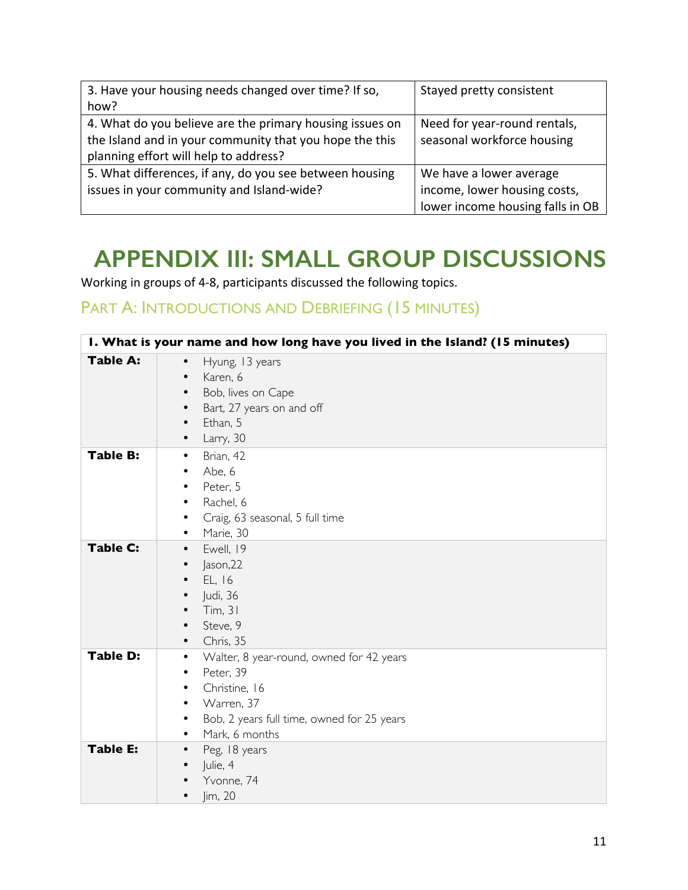| 3. Have your housing needs changed over time? If so,     | Stayed pretty consistent         |
|----------------------------------------------------------|----------------------------------|
| how?                                                     |                                  |
| 4. What do you believe are the primary housing issues on | Need for year-round rentals,     |
| the Island and in your community that you hope the this  | seasonal workforce housing       |
| planning effort will help to address?                    |                                  |
| 5. What differences, if any, do you see between housing  | We have a lower average          |
| issues in your community and Island-wide?                | income, lower housing costs,     |
|                                                          | lower income housing falls in OB |

# **APPENDIX III: SMALL GROUP DISCUSSIONS**

Working in groups of 4-8, participants discussed the following topics.

# PART A: INTRODUCTIONS AND DEBRIEFING (15 MINUTES)

| I. What is your name and how long have you lived in the Island? (15 minutes) |                                                                                                                                                                          |
|------------------------------------------------------------------------------|--------------------------------------------------------------------------------------------------------------------------------------------------------------------------|
| <b>Table A:</b>                                                              | Hyung, 13 years<br>$\bullet$<br>Karen, 6<br>Bob, lives on Cape<br>Bart, 27 years on and off<br>$\bullet$<br>Ethan, 5<br>$\bullet$<br>Larry, 30<br>$\bullet$              |
| <b>Table B:</b>                                                              | Brian, 42<br>٠<br>Abe, 6<br>٠<br>Peter, 5<br>٠<br>Rachel, 6<br>٠<br>Craig, 63 seasonal, 5 full time<br>Marie, 30<br>٠                                                    |
| <b>Table C:</b>                                                              | Ewell, 19<br>$\bullet$<br>Jason, 22<br>$\bullet$<br>EL, 16<br>Judi, 36<br>$\bullet$<br>Tim, 31<br>Steve, 9<br>$\bullet$<br>Chris, 35                                     |
| <b>Table D:</b>                                                              | Walter, 8 year-round, owned for 42 years<br>٠<br>Peter, 39<br>٠<br>Christine, 16<br>٠<br>Warren, 37<br>Bob, 2 years full time, owned for 25 years<br>Mark, 6 months<br>٠ |
| <b>Table E:</b>                                                              | Peg, 18 years<br>$\bullet$<br>Julie, 4<br>Yvonne, 74<br>Jim, 20                                                                                                          |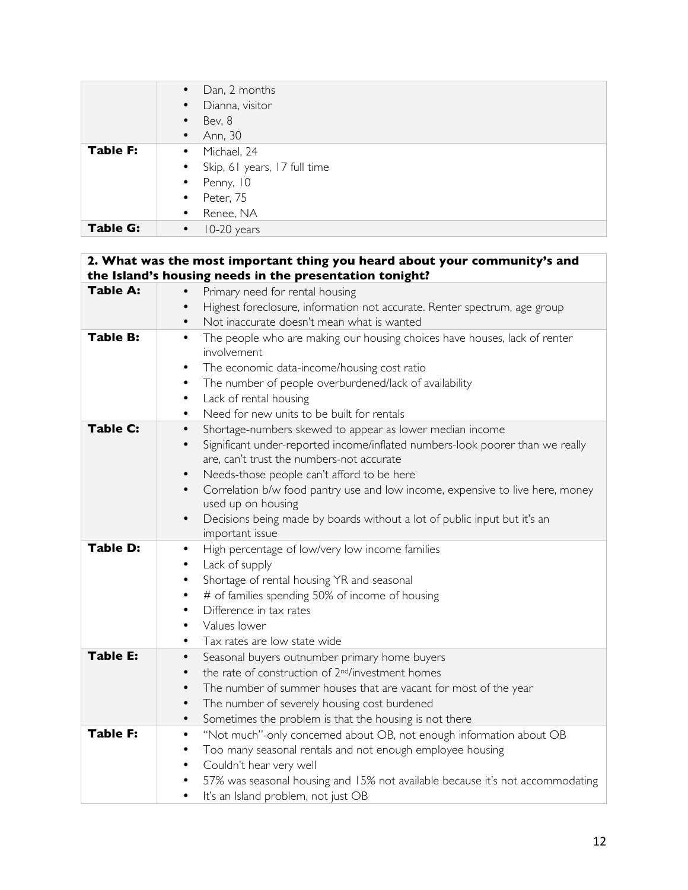|                 | Dan, 2 months<br>$\bullet$     |
|-----------------|--------------------------------|
|                 | • Dianna, visitor              |
|                 | Bev, 8<br>$\bullet$            |
|                 | Ann, 30<br>$\bullet$           |
| <b>Table F:</b> | • Michael, 24                  |
|                 | • Skip, 61 years, 17 full time |
|                 | $\bullet$ Penny, 10            |
|                 | $\bullet$ Peter, 75            |
|                 | • Renee, NA                    |
| <b>Table G:</b> | 10-20 years<br>$\bullet$       |

| <b>Table A:</b> | the Island's housing needs in the presentation tonight?<br>Primary need for rental housing<br>$\bullet$                                                           |
|-----------------|-------------------------------------------------------------------------------------------------------------------------------------------------------------------|
|                 | Highest foreclosure, information not accurate. Renter spectrum, age group<br>$\bullet$                                                                            |
|                 | Not inaccurate doesn't mean what is wanted<br>$\bullet$                                                                                                           |
| <b>Table B:</b> | The people who are making our housing choices have houses, lack of renter<br>$\bullet$<br>involvement<br>The economic data-income/housing cost ratio<br>$\bullet$ |
|                 | The number of people overburdened/lack of availability<br>$\bullet$                                                                                               |
|                 | Lack of rental housing<br>$\bullet$                                                                                                                               |
|                 | Need for new units to be built for rentals<br>$\bullet$                                                                                                           |
| <b>Table C:</b> | Shortage-numbers skewed to appear as lower median income<br>$\bullet$                                                                                             |
|                 | Significant under-reported income/inflated numbers-look poorer than we really<br>$\bullet$<br>are, can't trust the numbers-not accurate                           |
|                 | Needs-those people can't afford to be here<br>$\bullet$                                                                                                           |
|                 | Correlation b/w food pantry use and low income, expensive to live here, money<br>$\bullet$<br>used up on housing                                                  |
|                 | Decisions being made by boards without a lot of public input but it's an<br>$\bullet$<br>important issue                                                          |
| <b>Table D:</b> | High percentage of low/very low income families<br>$\bullet$<br>Lack of supply<br>$\bullet$                                                                       |
|                 | Shortage of rental housing YR and seasonal<br>$\bullet$                                                                                                           |
|                 | # of families spending 50% of income of housing<br>٠                                                                                                              |
|                 | Difference in tax rates<br>$\bullet$                                                                                                                              |
|                 | Values lower<br>$\bullet$                                                                                                                                         |
|                 | Tax rates are low state wide<br>$\bullet$                                                                                                                         |
| <b>Table E:</b> | Seasonal buyers outnumber primary home buyers<br>$\bullet$                                                                                                        |
|                 | the rate of construction of 2 <sup>nd</sup> /investment homes<br>$\bullet$                                                                                        |
|                 | The number of summer houses that are vacant for most of the year<br>$\bullet$                                                                                     |
|                 | The number of severely housing cost burdened<br>$\bullet$                                                                                                         |
|                 | Sometimes the problem is that the housing is not there<br>$\bullet$                                                                                               |
| <b>Table F:</b> | "Not much"-only concerned about OB, not enough information about OB<br>$\bullet$                                                                                  |
|                 | Too many seasonal rentals and not enough employee housing<br>$\bullet$                                                                                            |
|                 | Couldn't hear very well<br>$\bullet$                                                                                                                              |
|                 | 57% was seasonal housing and 15% not available because it's not accommodating<br>$\bullet$                                                                        |
|                 | It's an Island problem, not just OB<br>$\bullet$                                                                                                                  |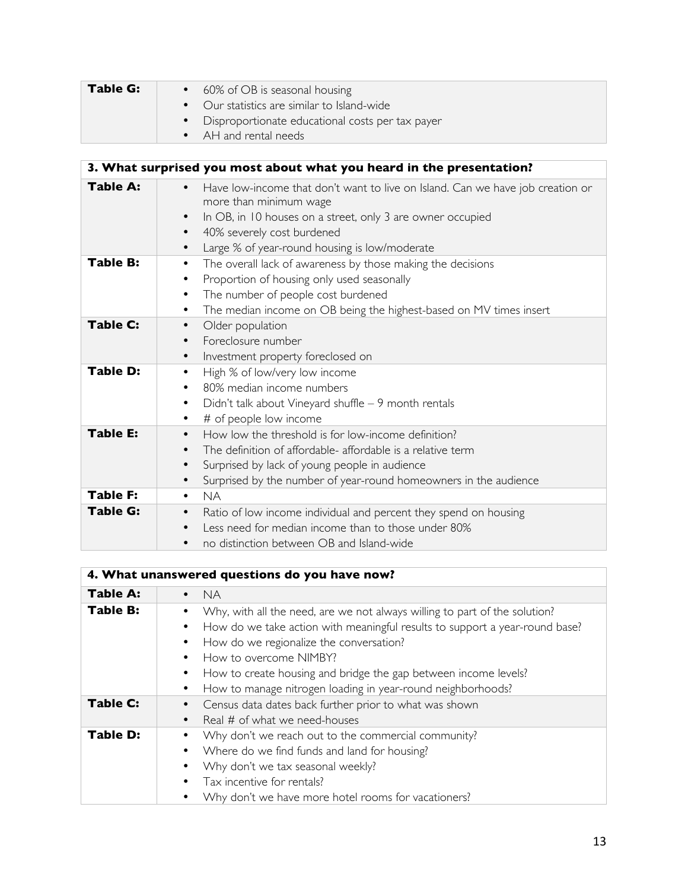| Table G: | • 60% of OB is seasonal housing<br>• Our statistics are similar to Island-wide |
|----------|--------------------------------------------------------------------------------|
|          | Disproportionate educational costs per tax payer                               |
|          | • AH and rental needs                                                          |

|                 | 3. What surprised you most about what you heard in the presentation?                                                                                                                                                                                                                                      |
|-----------------|-----------------------------------------------------------------------------------------------------------------------------------------------------------------------------------------------------------------------------------------------------------------------------------------------------------|
| Table A:        | Have low-income that don't want to live on Island. Can we have job creation or<br>$\bullet$<br>more than minimum wage<br>In OB, in 10 houses on a street, only 3 are owner occupied<br>$\bullet$<br>40% severely cost burdened<br>$\bullet$<br>Large % of year-round housing is low/moderate<br>$\bullet$ |
| <b>Table B:</b> | The overall lack of awareness by those making the decisions<br>$\bullet$<br>Proportion of housing only used seasonally<br>٠<br>The number of people cost burdened<br>$\bullet$<br>The median income on OB being the highest-based on MV times insert<br>٠                                                 |
| <b>Table C:</b> | Older population<br>$\bullet$<br>Foreclosure number<br>$\bullet$<br>Investment property foreclosed on<br>$\bullet$                                                                                                                                                                                        |
| <b>Table D:</b> | High % of low/very low income<br>$\bullet$<br>80% median income numbers<br>Didn't talk about Vineyard shuffle $-9$ month rentals<br>٠<br># of people low income<br>٠                                                                                                                                      |
| <b>Table E:</b> | How low the threshold is for low-income definition?<br>$\bullet$<br>The definition of affordable- affordable is a relative term<br>Surprised by lack of young people in audience<br>$\bullet$<br>Surprised by the number of year-round homeowners in the audience<br>٠                                    |
| <b>Table F:</b> | <b>NA</b><br>$\bullet$                                                                                                                                                                                                                                                                                    |
| <b>Table G:</b> | Ratio of low income individual and percent they spend on housing<br>$\bullet$<br>Less need for median income than to those under 80%<br>$\bullet$<br>no distinction between OB and Island-wide<br>٠                                                                                                       |

| 4. What unanswered questions do you have now? |                                                                                                                                                                                                                                                                                                                                                                                    |
|-----------------------------------------------|------------------------------------------------------------------------------------------------------------------------------------------------------------------------------------------------------------------------------------------------------------------------------------------------------------------------------------------------------------------------------------|
| <b>Table A:</b>                               | <b>NA</b>                                                                                                                                                                                                                                                                                                                                                                          |
| <b>Table B:</b>                               | Why, with all the need, are we not always willing to part of the solution?<br>How do we take action with meaningful results to support a year-round base?<br>How do we regionalize the conversation?<br>How to overcome NIMBY?<br>How to create housing and bridge the gap between income levels?<br>٠<br>How to manage nitrogen loading in year-round neighborhoods?<br>$\bullet$ |
| <b>Table C:</b>                               | Census data dates back further prior to what was shown<br>Real # of what we need-houses                                                                                                                                                                                                                                                                                            |
| <b>Table D:</b>                               | Why don't we reach out to the commercial community?<br>Where do we find funds and land for housing?<br>Why don't we tax seasonal weekly?<br>Tax incentive for rentals?<br>Why don't we have more hotel rooms for vacationers?                                                                                                                                                      |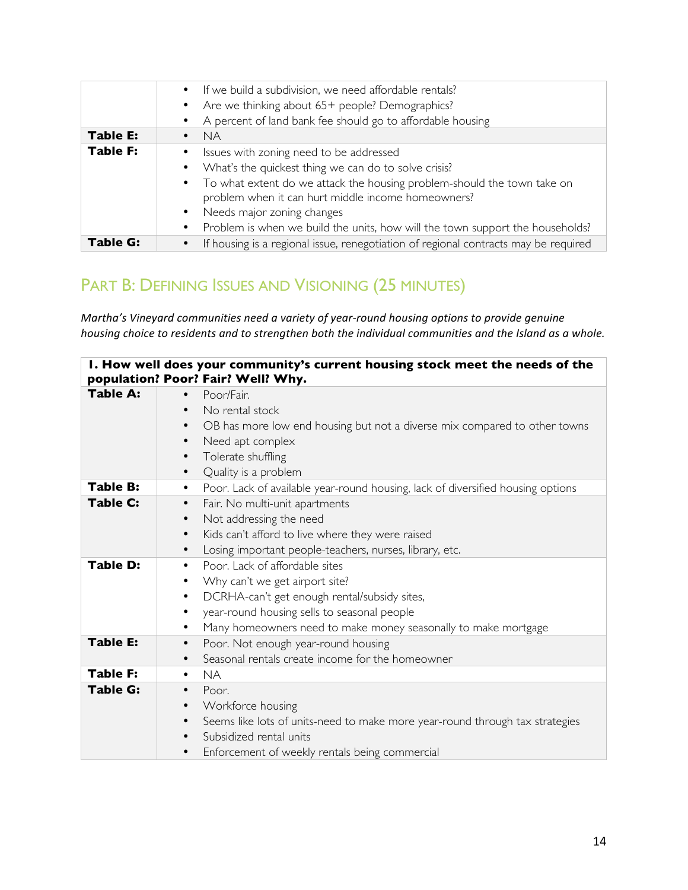|                 | • If we build a subdivision, we need affordable rentals?                            |
|-----------------|-------------------------------------------------------------------------------------|
|                 | Are we thinking about 65+ people? Demographics?                                     |
|                 | A percent of land bank fee should go to affordable housing                          |
| Table E:        | <b>NA</b>                                                                           |
| <b>Table F:</b> | Issues with zoning need to be addressed                                             |
|                 | What's the quickest thing we can do to solve crisis?                                |
|                 | • To what extent do we attack the housing problem-should the town take on           |
|                 | problem when it can hurt middle income homeowners?                                  |
|                 | Needs major zoning changes                                                          |
|                 | Problem is when we build the units, how will the town support the households?       |
| Table G:        | If housing is a regional issue, renegotiation of regional contracts may be required |

# PART B: DEFINING ISSUES AND VISIONING (25 MINUTES)

*Martha's Vineyard communities need a variety of year-round housing options to provide genuine housing* choice to residents and to strengthen both the individual communities and the Island as a whole.

|                 | I. How well does your community's current housing stock meet the needs of the<br>population? Poor? Fair? Well? Why.                                                                                                                                        |
|-----------------|------------------------------------------------------------------------------------------------------------------------------------------------------------------------------------------------------------------------------------------------------------|
| <b>Table A:</b> | Poor/Fair.<br>$\bullet$<br>No rental stock<br>$\bullet$<br>OB has more low end housing but not a diverse mix compared to other towns<br>$\bullet$<br>Need apt complex<br>$\bullet$<br>Tolerate shuffling<br>$\bullet$<br>Quality is a problem<br>٠         |
| <b>Table B:</b> | Poor. Lack of available year-round housing, lack of diversified housing options<br>$\bullet$                                                                                                                                                               |
| <b>Table C:</b> | Fair. No multi-unit apartments<br>$\bullet$<br>Not addressing the need<br>$\bullet$<br>Kids can't afford to live where they were raised<br>٠<br>Losing important people-teachers, nurses, library, etc.<br>$\bullet$                                       |
| <b>Table D:</b> | Poor. Lack of affordable sites<br>٠<br>Why can't we get airport site?<br>٠<br>DCRHA-can't get enough rental/subsidy sites,<br>٠<br>year-round housing sells to seasonal people<br>٠<br>Many homeowners need to make money seasonally to make mortgage<br>٠ |
| <b>Table E:</b> | Poor. Not enough year-round housing<br>$\bullet$<br>Seasonal rentals create income for the homeowner                                                                                                                                                       |
| <b>Table F:</b> | <b>NA</b><br>$\bullet$                                                                                                                                                                                                                                     |
| <b>Table G:</b> | Poor.<br>$\bullet$<br>Workforce housing<br>Seems like lots of units-need to make more year-round through tax strategies<br>$\bullet$<br>Subsidized rental units<br>$\bullet$<br>Enforcement of weekly rentals being commercial<br>$\bullet$                |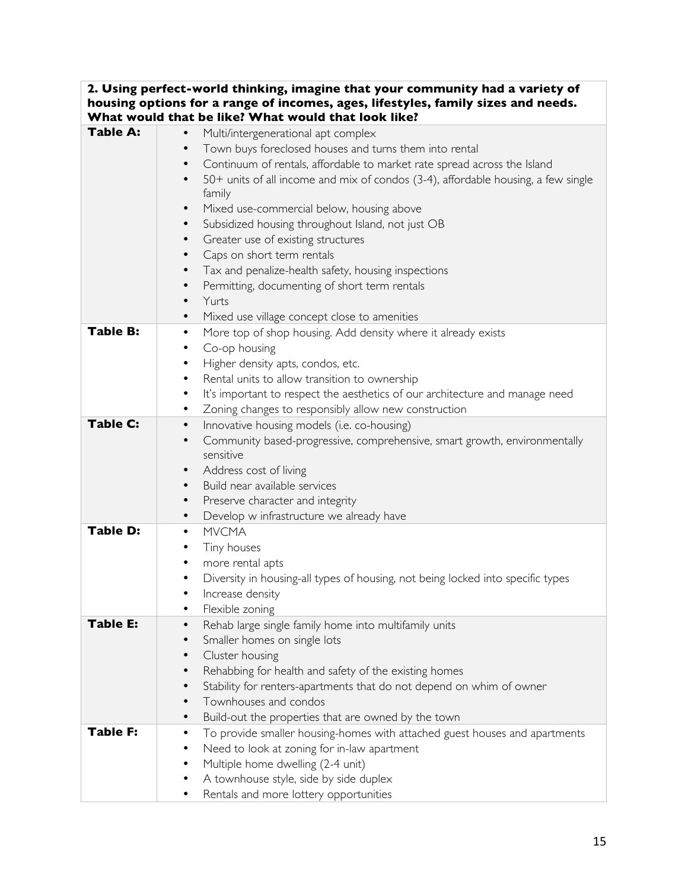| 2. Using perfect-world thinking, imagine that your community had a variety of |                                                                                        |  |
|-------------------------------------------------------------------------------|----------------------------------------------------------------------------------------|--|
|                                                                               | housing options for a range of incomes, ages, lifestyles, family sizes and needs.      |  |
|                                                                               | What would that be like? What would that look like?                                    |  |
| Table A:                                                                      | Multi/intergenerational apt complex<br>$\bullet$                                       |  |
|                                                                               | Town buys foreclosed houses and turns them into rental<br>$\bullet$                    |  |
|                                                                               | Continuum of rentals, affordable to market rate spread across the Island<br>$\bullet$  |  |
|                                                                               | 50+ units of all income and mix of condos (3-4), affordable housing, a few single      |  |
|                                                                               | family                                                                                 |  |
|                                                                               | Mixed use-commercial below, housing above                                              |  |
|                                                                               | Subsidized housing throughout Island, not just OB                                      |  |
|                                                                               | Greater use of existing structures                                                     |  |
|                                                                               | Caps on short term rentals                                                             |  |
|                                                                               | Tax and penalize-health safety, housing inspections                                    |  |
|                                                                               |                                                                                        |  |
|                                                                               | Permitting, documenting of short term rentals<br>$\bullet$                             |  |
|                                                                               | Yurts                                                                                  |  |
|                                                                               | Mixed use village concept close to amenities                                           |  |
| <b>Table B:</b>                                                               | More top of shop housing. Add density where it already exists<br>$\bullet$             |  |
|                                                                               | Co-op housing                                                                          |  |
|                                                                               | Higher density apts, condos, etc.<br>$\bullet$                                         |  |
|                                                                               | Rental units to allow transition to ownership                                          |  |
|                                                                               | It's important to respect the aesthetics of our architecture and manage need<br>٠      |  |
|                                                                               | Zoning changes to responsibly allow new construction                                   |  |
| <b>Table C:</b>                                                               | Innovative housing models (i.e. co-housing)                                            |  |
|                                                                               | Community based-progressive, comprehensive, smart growth, environmentally<br>$\bullet$ |  |
|                                                                               | sensitive                                                                              |  |
|                                                                               | Address cost of living                                                                 |  |
|                                                                               | Build near available services                                                          |  |
|                                                                               | Preserve character and integrity<br>$\bullet$                                          |  |
|                                                                               | Develop w infrastructure we already have<br>$\bullet$                                  |  |
| <b>Table D:</b>                                                               | <b>MVCMA</b><br>$\bullet$                                                              |  |
|                                                                               | Tiny houses                                                                            |  |
|                                                                               | more rental apts                                                                       |  |
|                                                                               | Diversity in housing-all types of housing, not being locked into specific types        |  |
|                                                                               | Increase density                                                                       |  |
|                                                                               |                                                                                        |  |
| Table E:                                                                      | Flexible zoning                                                                        |  |
|                                                                               | Rehab large single family home into multifamily units                                  |  |
|                                                                               | Smaller homes on single lots                                                           |  |
|                                                                               | Cluster housing                                                                        |  |
|                                                                               | Rehabbing for health and safety of the existing homes                                  |  |
|                                                                               | Stability for renters-apartments that do not depend on whim of owner                   |  |
|                                                                               | Townhouses and condos                                                                  |  |
|                                                                               | Build-out the properties that are owned by the town                                    |  |
| Table F:                                                                      | To provide smaller housing-homes with attached guest houses and apartments             |  |
|                                                                               | Need to look at zoning for in-law apartment                                            |  |
|                                                                               | Multiple home dwelling (2-4 unit)                                                      |  |
|                                                                               | A townhouse style, side by side duplex                                                 |  |
|                                                                               | Rentals and more lottery opportunities                                                 |  |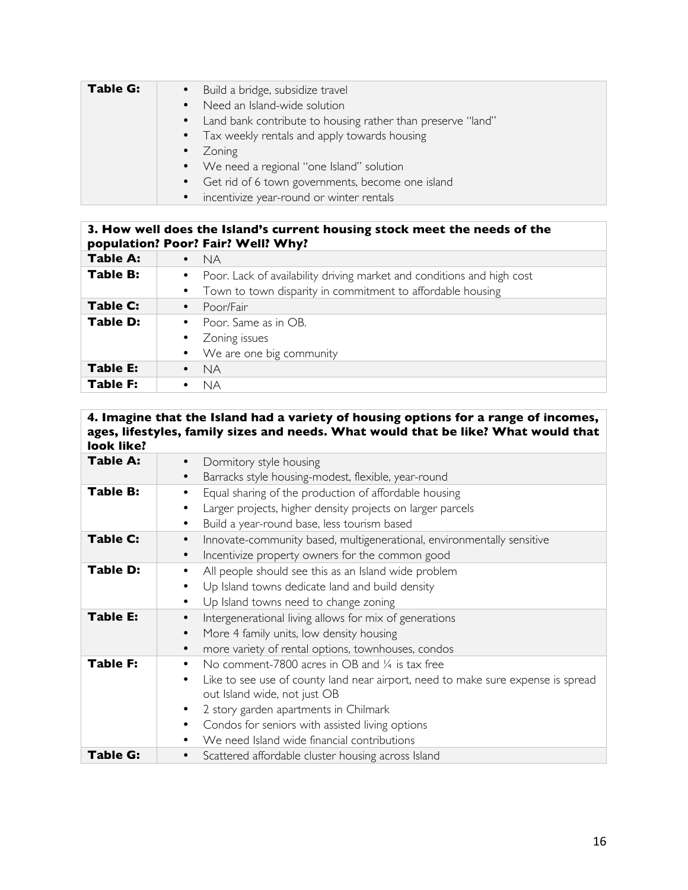| <b>Table G:</b> | • Build a bridge, subsidize travel                            |
|-----------------|---------------------------------------------------------------|
|                 | • Need an Island-wide solution                                |
|                 | • Land bank contribute to housing rather than preserve "land" |
|                 | • Tax weekly rentals and apply towards housing                |
|                 | • Zoning                                                      |
|                 | • We need a regional "one Island" solution                    |
|                 | Get rid of 6 town governments, become one island              |
|                 | • incentivize year-round or winter rentals                    |

#### **3. How well does the Island's current housing stock meet the needs of the population? Poor? Fair? Well? Why?**

| <b>Table A:</b> | <b>NA</b><br>$\bullet$                                                   |
|-----------------|--------------------------------------------------------------------------|
| <b>Table B:</b> | • Poor. Lack of availability driving market and conditions and high cost |
|                 | • Town to town disparity in commitment to affordable housing             |
| Table C:        | Poor/Fair<br>$\bullet$                                                   |
| Table D:        | Poor. Same as in OB.<br>$\bullet$                                        |
|                 | • Zoning issues                                                          |
|                 | We are one big community<br>$\bullet$                                    |
| <b>Table E:</b> | <b>NA</b>                                                                |
| <b>Table F:</b> | .<br>Na                                                                  |

## **4. Imagine that the Island had a variety of housing options for a range of incomes, ages, lifestyles, family sizes and needs. What would that be like? What would that look like?**

| <b>Table A:</b> | Dormitory style housing                                                                       |  |
|-----------------|-----------------------------------------------------------------------------------------------|--|
|                 | Barracks style housing-modest, flexible, year-round<br>$\bullet$                              |  |
| <b>Table B:</b> | Equal sharing of the production of affordable housing<br>$\bullet$                            |  |
|                 | Larger projects, higher density projects on larger parcels<br>٠                               |  |
|                 | Build a year-round base, less tourism based<br>٠                                              |  |
| Table C:        | Innovate-community based, multigenerational, environmentally sensitive<br>٠                   |  |
|                 | Incentivize property owners for the common good<br>$\bullet$                                  |  |
| Table D:        | All people should see this as an Island wide problem                                          |  |
|                 | Up Island towns dedicate land and build density                                               |  |
|                 | Up Island towns need to change zoning                                                         |  |
| <b>Table E:</b> | Intergenerational living allows for mix of generations                                        |  |
|                 | More 4 family units, low density housing<br>$\bullet$                                         |  |
|                 | more variety of rental options, townhouses, condos<br>$\bullet$                               |  |
| <b>Table F:</b> | No comment-7800 acres in OB and $\frac{1}{4}$ is tax free<br>$\bullet$                        |  |
|                 | Like to see use of county land near airport, need to make sure expense is spread<br>$\bullet$ |  |
|                 | out Island wide, not just OB                                                                  |  |
|                 | 2 story garden apartments in Chilmark                                                         |  |
|                 | Condos for seniors with assisted living options                                               |  |
|                 | We need Island wide financial contributions                                                   |  |
| <b>Table G:</b> | Scattered affordable cluster housing across Island                                            |  |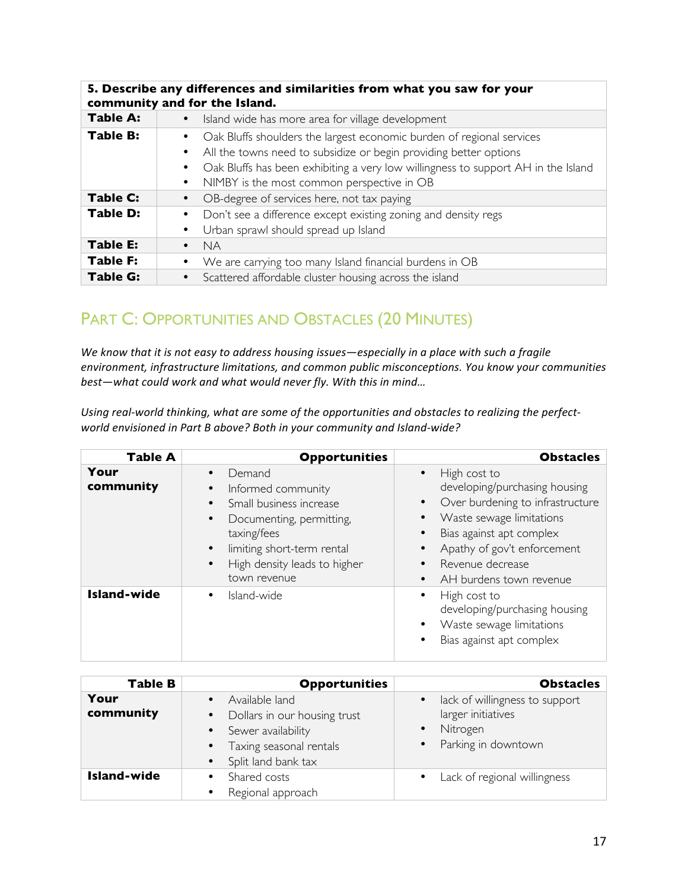|                 | 5. Describe any differences and similarities from what you saw for your<br>community and for the Island.                                                                                                                                                                                                |  |
|-----------------|---------------------------------------------------------------------------------------------------------------------------------------------------------------------------------------------------------------------------------------------------------------------------------------------------------|--|
| Table A:        | Island wide has more area for village development                                                                                                                                                                                                                                                       |  |
| <b>Table B:</b> | Oak Bluffs shoulders the largest economic burden of regional services<br>All the towns need to subsidize or begin providing better options<br>$\bullet$<br>Oak Bluffs has been exhibiting a very low willingness to support AH in the Island<br>NIMBY is the most common perspective in OB<br>$\bullet$ |  |
| <b>Table C:</b> | OB-degree of services here, not tax paying                                                                                                                                                                                                                                                              |  |
| <b>Table D:</b> | Don't see a difference except existing zoning and density regs<br>Urban sprawl should spread up Island<br>$\bullet$                                                                                                                                                                                     |  |
| <b>Table E:</b> | <b>NA</b>                                                                                                                                                                                                                                                                                               |  |
| <b>Table F:</b> | We are carrying too many Island financial burdens in OB                                                                                                                                                                                                                                                 |  |
| <b>Table G:</b> | Scattered affordable cluster housing across the island                                                                                                                                                                                                                                                  |  |

# PART C: OPPORTUNITIES AND OBSTACLES (20 MINUTES)

We know that it is not easy to address housing issues-especially in a place with such a fragile *environment, infrastructure limitations, and common public misconceptions. You know your communities best-what could work and what would never fly. With this in mind...* 

Using real-world thinking, what are some of the opportunities and obstacles to realizing the perfect*world envisioned in Part B above? Both in your community and Island-wide?* 

| <b>Table A</b>     | <b>Opportunities</b>                                                                                                                                                                                                                                           | <b>Obstacles</b>                                                                                                                                                                                                                                                                         |
|--------------------|----------------------------------------------------------------------------------------------------------------------------------------------------------------------------------------------------------------------------------------------------------------|------------------------------------------------------------------------------------------------------------------------------------------------------------------------------------------------------------------------------------------------------------------------------------------|
| Your<br>community  | Demand<br>$\bullet$<br>Informed community<br>$\bullet$<br>Small business increase<br>$\bullet$<br>Documenting, permitting,<br>$\bullet$<br>taxing/fees<br>limiting short-term rental<br>$\bullet$<br>High density leads to higher<br>$\bullet$<br>town revenue | High cost to<br>$\bullet$<br>developing/purchasing housing<br>Over burdening to infrastructure<br>$\bullet$<br>Waste sewage limitations<br>Bias against apt complex<br>$\bullet$<br>Apathy of gov't enforcement<br>Revenue decrease<br>$\bullet$<br>AH burdens town revenue<br>$\bullet$ |
| <b>Island-wide</b> | Island-wide<br>$\bullet$                                                                                                                                                                                                                                       | High cost to<br>$\bullet$<br>developing/purchasing housing<br>Waste sewage limitations<br>$\bullet$<br>Bias against apt complex<br>$\bullet$                                                                                                                                             |

| <b>Table B</b>     | <b>Opportunities</b>                                                                                                                                                                    | <b>Obstacles</b>                                                                                                    |
|--------------------|-----------------------------------------------------------------------------------------------------------------------------------------------------------------------------------------|---------------------------------------------------------------------------------------------------------------------|
| Your<br>community  | Available land<br>$\bullet$<br>Dollars in our housing trust<br>$\bullet$<br>Sewer availability<br>$\bullet$<br>Taxing seasonal rentals<br>$\bullet$<br>Split land bank tax<br>$\bullet$ | lack of willingness to support<br>$\bullet$<br>larger initiatives<br>Nitrogen<br>$\bullet$<br>• Parking in downtown |
| <b>Island-wide</b> | Shared costs<br>٠<br>Regional approach<br>$\bullet$                                                                                                                                     | • Lack of regional willingness                                                                                      |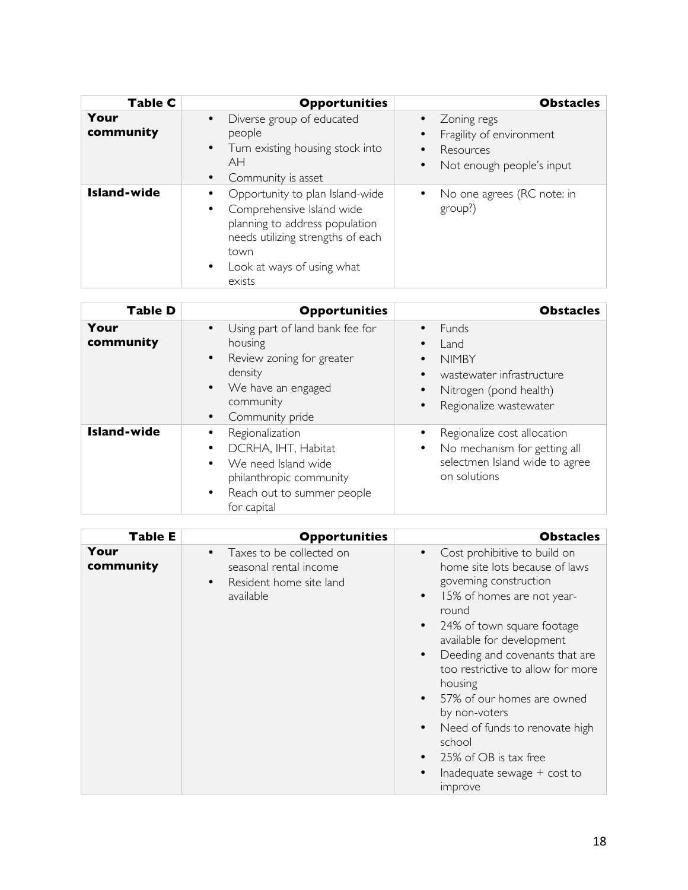| Table C            | <b>Opportunities</b>                                                                                                                                                                                          | <b>Obstacles</b>                                                                                                         |
|--------------------|---------------------------------------------------------------------------------------------------------------------------------------------------------------------------------------------------------------|--------------------------------------------------------------------------------------------------------------------------|
| Your<br>community  | Diverse group of educated<br>$\bullet$<br>people<br>Turn existing housing stock into<br>$\bullet$<br>AH<br>Community is asset<br>$\bullet$                                                                    | Zoning regs<br>$\bullet$<br>Fragility of environment<br>Resources<br>$\bullet$<br>Not enough people's input<br>$\bullet$ |
| <b>Island-wide</b> | Opportunity to plan Island-wide<br>Comprehensive Island wide<br>$\bullet$<br>planning to address population<br>needs utilizing strengths of each<br>town<br>Look at ways of using what<br>$\bullet$<br>exists | No one agrees (RC note: in<br>group?)                                                                                    |

| <b>Table D</b>     | <b>Opportunities</b>                                                                                                                                                                         | <b>Obstacles</b>                                                                                                                                                  |
|--------------------|----------------------------------------------------------------------------------------------------------------------------------------------------------------------------------------------|-------------------------------------------------------------------------------------------------------------------------------------------------------------------|
| Your<br>community  | Using part of land bank fee for<br>$\bullet$<br>housing<br>Review zoning for greater<br>$\bullet$<br>density<br>We have an engaged<br>$\bullet$<br>community<br>Community pride<br>$\bullet$ | <b>Funds</b><br>$\bullet$<br>Land<br><b>NIMBY</b><br>٠<br>wastewater infrastructure<br>$\bullet$<br>Nitrogen (pond health)<br>Regionalize wastewater<br>$\bullet$ |
| <b>Island-wide</b> | Regionalization<br>DCRHA, IHT, Habitat<br>$\bullet$<br>We need Island wide<br>$\bullet$<br>philanthropic community<br>Reach out to summer people<br>$\bullet$<br>for capital                 | Regionalize cost allocation<br>No mechanism for getting all<br>٠<br>selectmen Island wide to agree<br>on solutions                                                |

| <b>Table E</b>    | <b>Opportunities</b>                                                                                                 | <b>Obstacles</b>                                                                                                                                                                                                                                                                                                                                                                                                                                                                                                                                      |
|-------------------|----------------------------------------------------------------------------------------------------------------------|-------------------------------------------------------------------------------------------------------------------------------------------------------------------------------------------------------------------------------------------------------------------------------------------------------------------------------------------------------------------------------------------------------------------------------------------------------------------------------------------------------------------------------------------------------|
| Your<br>community | Taxes to be collected on<br>$\bullet$<br>seasonal rental income<br>Resident home site land<br>$\bullet$<br>available | Cost prohibitive to build on<br>$\bullet$<br>home site lots because of laws<br>governing construction<br>15% of homes are not year-<br>$\bullet$<br>round<br>24% of town square footage<br>$\bullet$<br>available for development<br>Deeding and covenants that are<br>$\bullet$<br>too restrictive to allow for more<br>housing<br>57% of our homes are owned<br>$\bullet$<br>by non-voters<br>Need of funds to renovate high<br>$\bullet$<br>school<br>25% of OB is tax free<br>$\bullet$<br>Inadequate sewage $+$ cost to<br><i><b>Improve</b></i> |